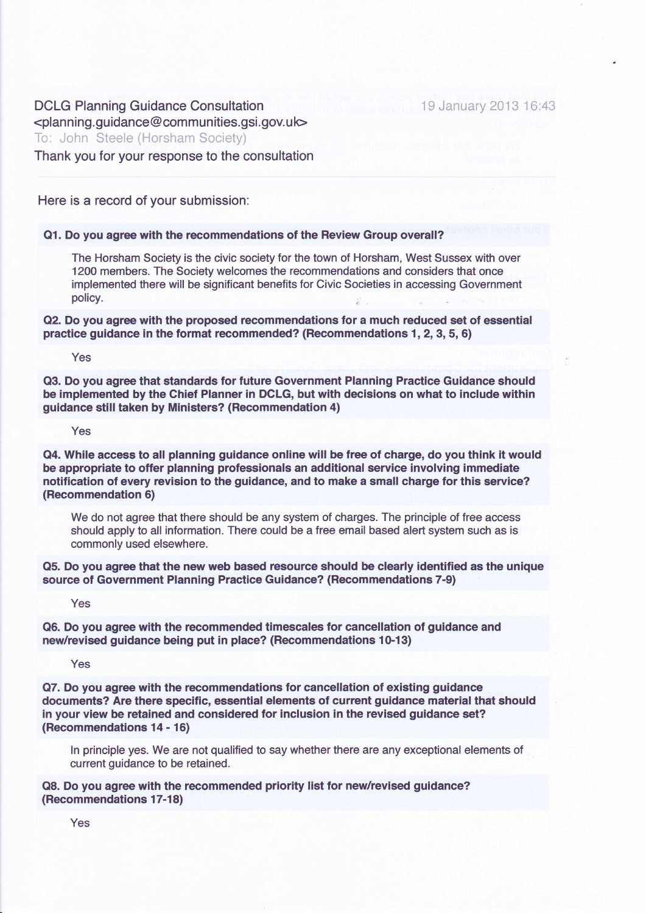DCLG Planning Guidance Consultation  $\le$ planning.quidance@communities.gsi.gov.uk> To: John Steele (Horsham Society) Thank you for your response to the consultation

Here is a record of your submission:

#### Q1. Do you agree with the recommendations of the Review Group overall?

The Horsham Society is the civic society for the town of Horsham, West Sussex with over 1200 members. The Society welcomes the recommendations and considers that once implemented there will be significant benefits for Civic Societies in accessing Government policy.

Q2. Do you agree with the proposed recommendations for a much reduced set of essential practice guidance in the format recommended? (Recommendations 1, 2,3,5,6)

Yes

Q3. Do you agree that standards for future Government Planning Practice Guidance should be implemented by the Chief Planner in DCLG, but with decisions on what to include within guidance still taken by Ministers? (Recommendation 4)

Yes

Q4. While access to all planning guidance online will be free of charge, do you think it would be appropriate to offer planning professionals an additional service involving immediate notification of every revision to the guidance, and to make a small charge for this service? (Recommendation 6)

We do not agree that there should be any system of charges. The principle of free access should apply to all information. There could be a free email based alert system such as is commonly used elsewhere.

Q5. Do you agree that the new web based resource should be clearly identified as the unique source of Government Planning Practice Guidance? (Recommendations 7-9)

Yes

Q6. Do you agree with the recommended timescales for cancellation of guidance and new/revised guidance being put in place? (Recommendations 10-13)

Yes

Q7. Do you agree with the recommendations for cancellation of existing guidance documents? Are there specific, essential elements of current guidance material that should in your view be retained and considered for inclusion in the revised guidance set? (Recommendations 14 - 16)

ln principle yes. We are not qualified to say whether there are any exceptional elements of current guidance to be retained.

Q8. Do you agree with the recommended priority list for new/revised guidance? (Recommendations 17-18)

Yes